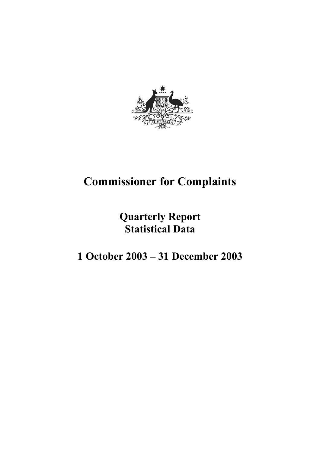

# **Commissioner for Complaints**

# **Quarterly Report Statistical Data**

# **1 October 2003 – 31 December 2003**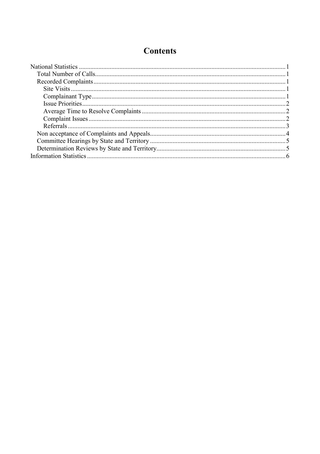# **Contents**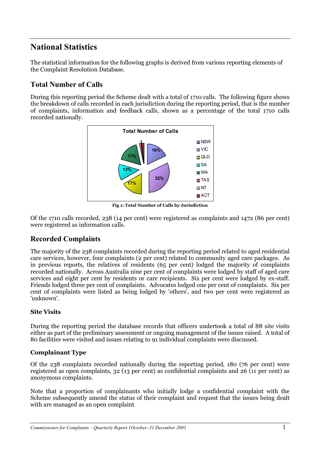## **National Statistics**

The statistical information for the following graphs is derived from various reporting elements of the Complaint Resolution Database.

## **Total Number of Calls**

During this reporting period the Scheme dealt with a total of 1710 calls. The following figure shows the breakdown of calls recorded in each jurisdiction during the reporting period, that is the number of complaints, information and feedback calls, shown as a percentage of the total 1710 calls recorded nationally.



**Fig 1: Total Number of Calls by Jurisdiction**

Of the 1710 calls recorded, 238 (14 per cent) were registered as complaints and 1472 (86 per cent) were registered as information calls.

### **Recorded Complaints**

The majority of the 238 complaints recorded during the reporting period related to aged residential care services, however, four complaints (2 per cent) related to community aged care packages. As in previous reports, the relatives of residents (65 per cent) lodged the majority of complaints recorded nationally. Across Australia nine per cent of complaints were lodged by staff of aged care services and eight per cent by residents or care recipients. Six per cent were lodged by ex-staff. Friends lodged three per cent of complaints. Advocates lodged one per cent of complaints. Six per cent of complaints were listed as being lodged by 'others', and two per cent were registered as 'unknown'.

#### **Site Visits**

During the reporting period the database records that officers undertook a total of 88 site visits either as part of the preliminary assessment or ongoing management of the issues raised.A total of 80 facilities were visited and issues relating to 91 individual complaints were discussed.

#### **Complainant Type**

Of the 238 complaints recorded nationally during the reporting period, 180 (76 per cent) were registered as open complaints, 32 (13 per cent) as confidential complaints and 26 (11 per cent) as anonymous complaints.

Note that a proportion of complainants who initially lodge a confidential complaint with the Scheme subsequently amend the status of their complaint and request that the issues being dealt with are managed as an open complaint.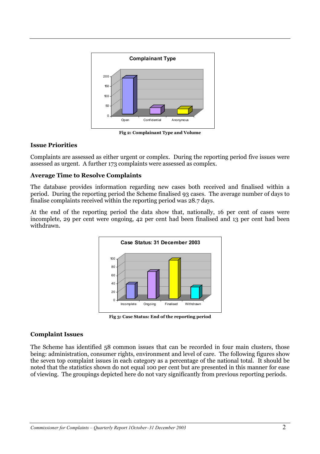

**Fig 2: Complainant Type and Volume**

#### **Issue Priorities**

Complaints are assessed as either urgent or complex. During the reporting period five issues were assessed as urgent. A further 173 complaints were assessed as complex.

#### **Average Time to Resolve Complaints**

The database provides information regarding new cases both received and finalised within a period. During the reporting period the Scheme finalised 93 cases. The average number of days to finalise complaints received within the reporting period was 28.7 days.

At the end of the reporting period the data show that, nationally, 16 per cent of cases were incomplete, 29 per cent were ongoing, 42 per cent had been finalised and 13 per cent had been withdrawn.



**Fig 3: Case Status: End of the reporting period**

#### **Complaint Issues**

The Scheme has identified 58 common issues that can be recorded in four main clusters, those being: administration, consumer rights, environment and level of care. The following figures show the seven top complaint issues in each category as a percentage of the national total. It should be noted that the statistics shown do not equal 100 per cent but are presented in this manner for ease of viewing. The groupings depicted here do not vary significantly from previous reporting periods.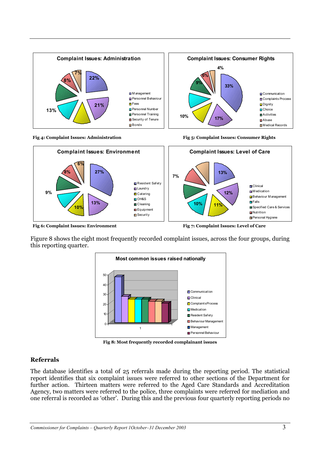





**Fig 6: Complaint Issues: Environment Fig 7: Complaint Issues: Level of Care** 

Figure 8 shows the eight most frequently recorded complaint issues, across the four groups, during this reporting quarter.



**Fig 8: Most frequently recorded complainant issues**

#### **Referrals**

The database identifies a total of 25 referrals made during the reporting period. The statistical report identifies that six complaint issues were referred to other sections of the Department for further action. Thirteen matters were referred to the Aged Care Standards and Accreditation Agency, two matters were referred to the police, three complaints were referred for mediation and one referral is recorded as 'other'. During this and the previous four quarterly reporting periods no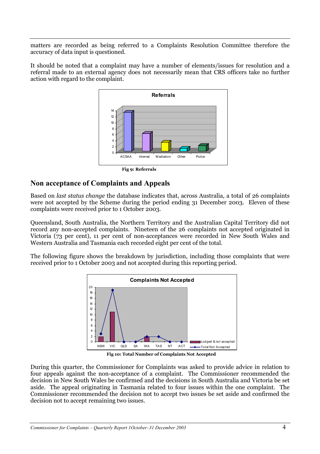matters are recorded as being referred to a Complaints Resolution Committee therefore the accuracy of data input is questioned.

It should be noted that a complaint may have a number of elements/issues for resolution and a referral made to an external agency does not necessarily mean that CRS officers take no further action with regard to the complaint.



#### **Non acceptance of Complaints and Appeals**

Based on *last status change* the database indicates that, across Australia, a total of 26 complaints were not accepted by the Scheme during the period ending 31 December 2003. Eleven of these complaints were received prior to 1 October 2003.

Queensland, South Australia, the Northern Territory and the Australian Capital Territory did not record any non-accepted complaints. Nineteen of the 26 complaints not accepted originated in Victoria (73 per cent), 11 per cent of non-acceptances were recorded in New South Wales and Western Australia and Tasmania each recorded eight per cent of the total.

The following figure shows the breakdown by jurisdiction, including those complaints that were received prior to 1 October 2003 and not accepted during this reporting period.



**Fig 10: Total Number of Complaints Not Accepted**

During this quarter, the Commissioner for Complaints was asked to provide advice in relation to four appeals against the non-acceptance of a complaint. The Commissioner recommended the decision in New South Wales be confirmed and the decisions in South Australia and Victoria be set aside. The appeal originating in Tasmania related to four issues within the one complaint. The Commissioner recommended the decision not to accept two issues be set aside and confirmed the decision not to accept remaining two issues.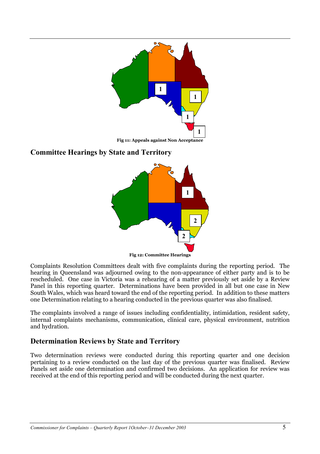

### **Committee Hearings by State and Territory**



Complaints Resolution Committees dealt with five complaints during the reporting period. The hearing in Queensland was adjourned owing to the non-appearance of either party and is to be rescheduled. One case in Victoria was a rehearing of a matter previously set aside by a Review Panel in this reporting quarter. Determinations have been provided in all but one case in New South Wales, which was heard toward the end of the reporting period. In addition to these matters one Determination relating to a hearing conducted in the previous quarter was also finalised.

The complaints involved a range of issues including confidentiality, intimidation, resident safety, internal complaints mechanisms, communication, clinical care, physical environment, nutrition and hydration.

### **Determination Reviews by State and Territory**

Two determination reviews were conducted during this reporting quarter and one decision pertaining to a review conducted on the last day of the previous quarter was finalised. Review Panels set aside one determination and confirmed two decisions. An application for review was received at the end of this reporting period and will be conducted during the next quarter.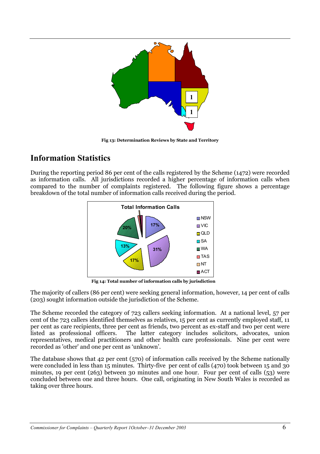

**Fig 13: Determination Reviews by State and Territory**

## **Information Statistics**

During the reporting period 86 per cent of the calls registered by the Scheme (1472) were recorded as information calls. All jurisdictions recorded a higher percentage of information calls when compared to the number of complaints registered. The following figure shows a percentage breakdown of the total number of information calls received during the period.



**Fig 14: Total number of information calls by jurisdiction**

The majority of callers (86 per cent) were seeking general information, however, 14 per cent of calls (203) sought information outside the jurisdiction of the Scheme.

The Scheme recorded the category of 723 callers seeking information. At a national level, 57 per cent of the 723 callers identified themselves as relatives, 15 per cent as currently employed staff, 11 per cent as care recipients, three per cent as friends, two percent as ex-staff and two per cent were listed as professional officers. The latter category includes solicitors, advocates, union representatives, medical practitioners and other health care professionals. Nine per cent were recorded as 'other' and one per cent as 'unknown'.

The database shows that 42 per cent (570) of information calls received by the Scheme nationally were concluded in less than 15 minutes. Thirty-five per cent of calls (470) took between 15 and 30 minutes, 19 per cent (263) between 30 minutes and one hour. Four per cent of calls (53) were concluded between one and three hours. One call, originating in New South Wales is recorded as taking over three hours.